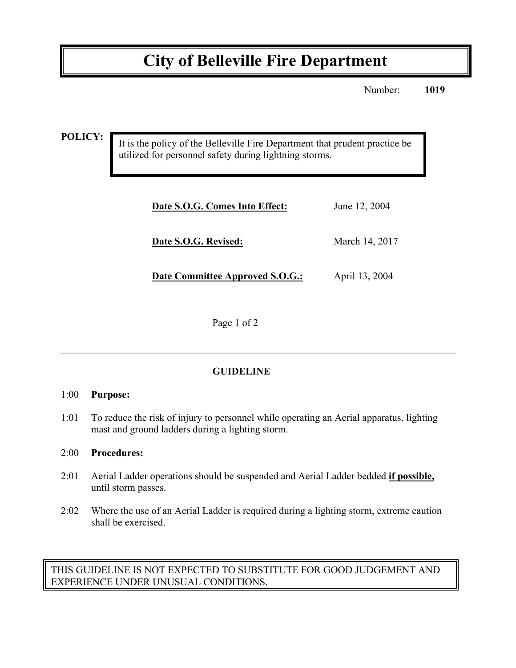# **City of Belleville Fire Department**

Number: **1019**

**POLICY:**

It is the policy of the Belleville Fire Department that prudent practice be utilized for personnel safety during lightning storms.

| Date S.O.G. Comes Into Effect:  | June 12, 2004  |
|---------------------------------|----------------|
| Date S.O.G. Revised:            | March 14, 2017 |
| Date Committee Approved S.O.G.: | April 13, 2004 |

Page 1 of 2

# **GUIDELINE**

## 1:00 **Purpose:**

1:01 To reduce the risk of injury to personnel while operating an Aerial apparatus, lighting mast and ground ladders during a lighting storm.

#### 2:00 **Procedures:**

- 2:01 Aerial Ladder operations should be suspended and Aerial Ladder bedded **if possible,**  until storm passes.
- 2:02 Where the use of an Aerial Ladder is required during a lighting storm, extreme caution shall be exercised.

THIS GUIDELINE IS NOT EXPECTED TO SUBSTITUTE FOR GOOD JUDGEMENT AND EXPERIENCE UNDER UNUSUAL CONDITIONS.